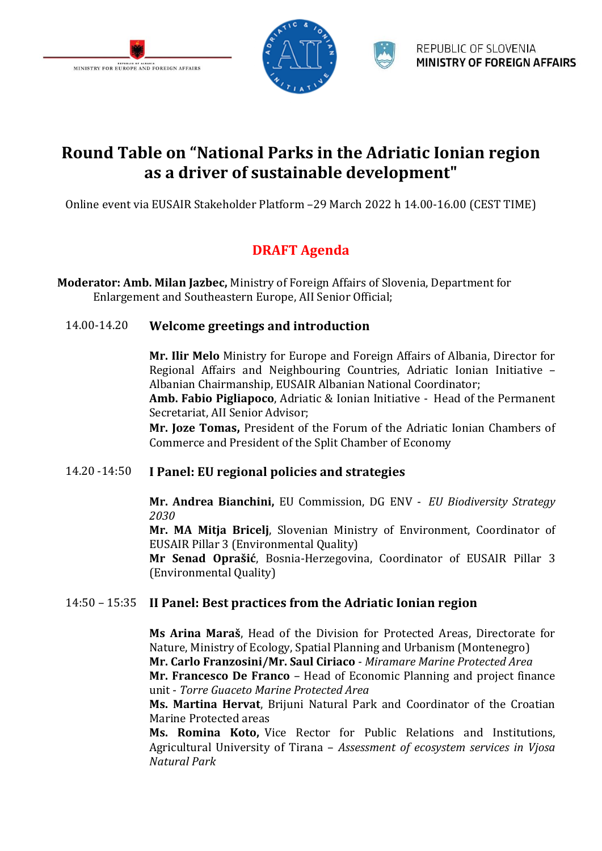



# **Round Table on "National Parks in the Adriatic Ionian region as a driver of sustainable development"**

Online event via EUSAIR Stakeholder Platform –29 March 2022 h 14.00-16.00 (CEST TIME)

## **DRAFT Agenda**

#### 14.00-14.20 **Welcome greetings and introduction**

**Mr. Ilir Melo** Ministry for Europe and Foreign Affairs of Albania, Director for Regional Affairs and Neighbouring Countries, Adriatic Ionian Initiative – Albanian Chairmanship, EUSAIR Albanian National Coordinator;

**Amb. Fabio Pigliapoco**, Adriatic & Ionian Initiative - Head of the Permanent Secretariat, AII Senior Advisor;

**Mr. Joze Tomas,** President of the Forum of the Adriatic Ionian Chambers of Commerce and President of the Split Chamber of Economy

#### 14.20 -14:50 **I Panel: EU regional policies and strategies**

**Mr. Andrea Bianchini,** EU Commission, DG ENV - *EU Biodiversity Strategy 2030*

**Mr. MA Mitja Bricelj**, Slovenian Ministry of Environment, Coordinator of EUSAIR Pillar 3 (Environmental Quality)

**Mr Senad Oprašić**, Bosnia-Herzegovina, Coordinator of EUSAIR Pillar 3 (Environmental Quality)

### 14:50 – 15:35 **II Panel: Best practices from the Adriatic Ionian region**

**Ms Arina Maraš**, Head of the Division for Protected Areas, Directorate for Nature, Ministry of Ecology, Spatial Planning and Urbanism (Montenegro) **Mr. Carlo Franzosini/Mr. Saul Ciriaco** - *Miramare Marine Protected Area* **Mr. Francesco De Franco** – Head of Economic Planning and project finance unit - *Torre Guaceto Marine Protected Area*

**Ms. Martina Hervat**, Brijuni Natural Park and Coordinator of the Croatian Marine Protected areas

**Ms. Romina Koto,** Vice Rector for Public Relations and Institutions, Agricultural University of Tirana – *Assessment of ecosystem services in Vjosa Natural Park*

**Moderator: Amb. Milan Jazbec,** Ministry of Foreign Affairs of Slovenia, Department for Enlargement and Southeastern Europe, AII Senior Official;